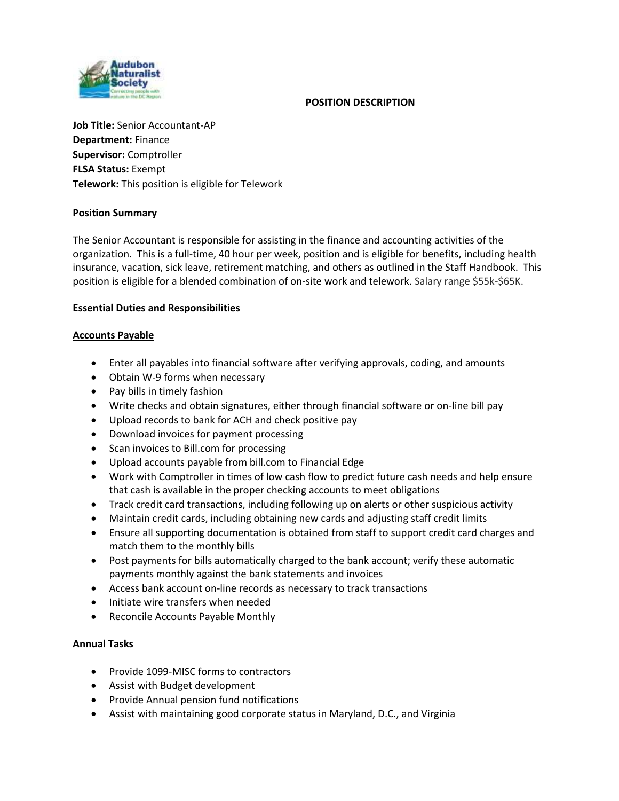## **POSITION DESCRIPTION**



**Job Title:** Senior Accountant-AP **Department:** Finance **Supervisor:** Comptroller **FLSA Status:** Exempt **Telework:** This position is eligible for Telework

# **Position Summary**

The Senior Accountant is responsible for assisting in the finance and accounting activities of the organization. This is a full-time, 40 hour per week, position and is eligible for benefits, including health insurance, vacation, sick leave, retirement matching, and others as outlined in the Staff Handbook. This position is eligible for a blended combination of on-site work and telework. Salary range \$55k-\$65K.

# **Essential Duties and Responsibilities**

# **Accounts Payable**

- Enter all payables into financial software after verifying approvals, coding, and amounts
- Obtain W-9 forms when necessary
- Pay bills in timely fashion
- Write checks and obtain signatures, either through financial software or on-line bill pay
- Upload records to bank for ACH and check positive pay
- Download invoices for payment processing
- Scan invoices to Bill.com for processing
- Upload accounts payable from bill.com to Financial Edge
- Work with Comptroller in times of low cash flow to predict future cash needs and help ensure that cash is available in the proper checking accounts to meet obligations
- Track credit card transactions, including following up on alerts or other suspicious activity
- Maintain credit cards, including obtaining new cards and adjusting staff credit limits
- Ensure all supporting documentation is obtained from staff to support credit card charges and match them to the monthly bills
- Post payments for bills automatically charged to the bank account; verify these automatic payments monthly against the bank statements and invoices
- Access bank account on-line records as necessary to track transactions
- Initiate wire transfers when needed
- Reconcile Accounts Payable Monthly

### **Annual Tasks**

- Provide 1099-MISC forms to contractors
- Assist with Budget development
- Provide Annual pension fund notifications
- Assist with maintaining good corporate status in Maryland, D.C., and Virginia